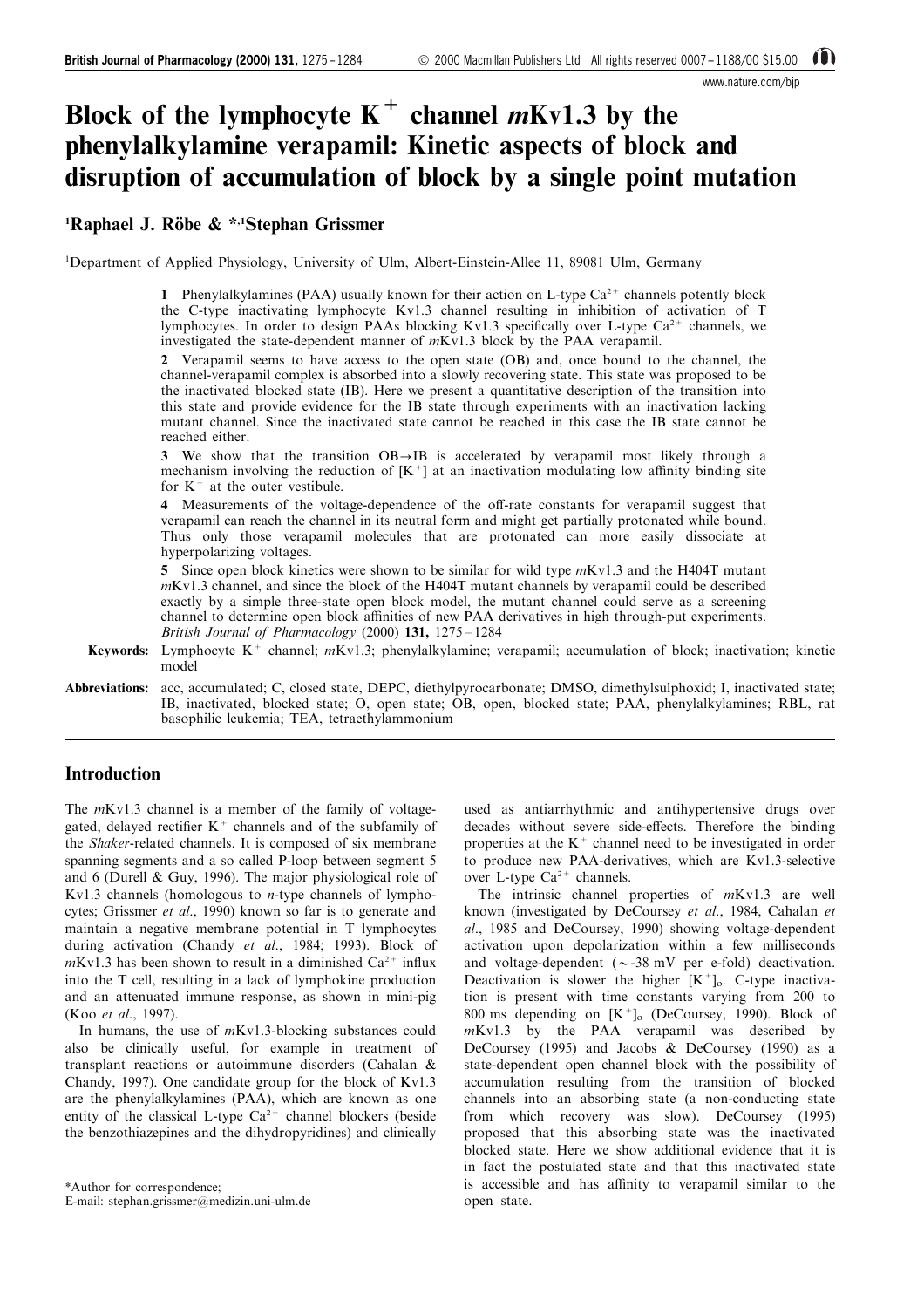www.nature.com/bjp

# Block of the lymphocyte  $K^+$  channel *m*Kv1.3 by the phenylalkylamine verapamil: Kinetic aspects of block and disruption of accumulation of block by a single point mutation

# <sup>1</sup>Raphael J. Röbe & \*<sup>,1</sup>Stephan Grissmer

<sup>1</sup>Department of Applied Physiology, University of Ulm, Albert-Einstein-Allee 11, 89081 Ulm, Germany

1 Phenylalkylamines (PAA) usually known for their action on L-type  $Ca<sup>2+</sup>$  channels potently block the C-type inactivating lymphocyte Kv1.3 channel resulting in inhibition of activation of T lymphocytes. In order to design PAAs blocking Kv1.3 specifically over L-type  $Ca^{2+}$  channels, we investigated the state-dependent manner of mKv1.3 block by the PAA verapamil.

2 Verapamil seems to have access to the open state (OB) and, once bound to the channel, the channel-verapamil complex is absorbed into a slowly recovering state. This state was proposed to be the inactivated blocked state (IB). Here we present a quantitative description of the transition into this state and provide evidence for the IB state through experiments with an inactivation lacking mutant channel. Since the inactivated state cannot be reached in this case the IB state cannot be reached either.

3 We show that the transition  $OB \rightarrow IB$  is accelerated by verapamil most likely through a mechanism involving the reduction of  $[K^+]$  at an inactivation modulating low affinity binding site for  $K^+$  at the outer vestibule.

4 Measurements of the voltage-dependence of the off-rate constants for verapamil suggest that verapamil can reach the channel in its neutral form and might get partially protonated while bound. Thus only those verapamil molecules that are protonated can more easily dissociate at hyperpolarizing voltages.

5 Since open block kinetics were shown to be similar for wild type  $mKv1.3$  and the H404T mutant mKv1.3 channel, and since the block of the H404T mutant channels by verapamil could be described exactly by a simple three-state open block model, the mutant channel could serve as a screening channel to determine open block affinities of new PAA derivatives in high through-put experiments. British Journal of Pharmacology (2000)  $131, 1275 - 1284$ 

Keywords: Lymphocyte K<sup>+</sup> channel;  $mKv1.3$ ; phenylalkylamine; verapamil; accumulation of block; inactivation; kinetic model

Abbreviations: acc, accumulated; C, closed state, DEPC, diethylpyrocarbonate; DMSO, dimethylsulphoxid; I, inactivated state; IB, inactivated, blocked state; O, open state; OB, open, blocked state; PAA, phenylalkylamines; RBL, rat basophilic leukemia; TEA, tetraethylammonium

## Introduction

The  $mKv1.3$  channel is a member of the family of voltagegated, delayed rectifier  $K^+$  channels and of the subfamily of the Shaker-related channels. It is composed of six membrane spanning segments and a so called P-loop between segment 5 and 6 (Durell & Guy, 1996). The major physiological role of Kv1.3 channels (homologous to n-type channels of lymphocytes; Grissmer et al., 1990) known so far is to generate and maintain a negative membrane potential in T lymphocytes during activation (Chandy et al., 1984; 1993). Block of  $mKv1.3$  has been shown to result in a diminished  $Ca^{2+}$  influx into the T cell, resulting in a lack of lymphokine production and an attenuated immune response, as shown in mini-pig (Koo et al., 1997).

In humans, the use of mKv1.3-blocking substances could also be clinically useful, for example in treatment of transplant reactions or autoimmune disorders (Cahalan & Chandy, 1997). One candidate group for the block of Kv1.3 are the phenylalkylamines (PAA), which are known as one entity of the classical L-type  $Ca^{2+}$  channel blockers (beside the benzothiazepines and the dihydropyridines) and clinically

used as antiarrhythmic and antihypertensive drugs over decades without severe side-effects. Therefore the binding properties at the  $K^+$  channel need to be investigated in order to produce new PAA-derivatives, which are Kv1.3-selective over L-type  $Ca^{2+}$  channels.

The intrinsic channel properties of mKv1.3 are well known (investigated by DeCoursey et al., 1984, Cahalan et al., 1985 and DeCoursey, 1990) showing voltage-dependent activation upon depolarization within a few milliseconds and voltage-dependent  $({\sim}$ -38 mV per e-fold) deactivation. Deactivation is slower the higher  $[K^+]_0$ . C-type inactivation is present with time constants varying from 200 to 800 ms depending on  $[K^+]_0$  (DeCoursey, 1990). Block of  $mKv1.3$  by the PAA verapamil was described by DeCoursey (1995) and Jacobs & DeCoursey (1990) as a state-dependent open channel block with the possibility of accumulation resulting from the transition of blocked channels into an absorbing state (a non-conducting state from which recovery was slow). DeCoursey (1995) proposed that this absorbing state was the inactivated blocked state. Here we show additional evidence that it is in fact the postulated state and that this inactivated state is accessible and has affinity to verapamil similar to the open state.

<sup>\*</sup>Author for correspondence; E-mail: stephan.grissmer@medizin.uni-ulm.de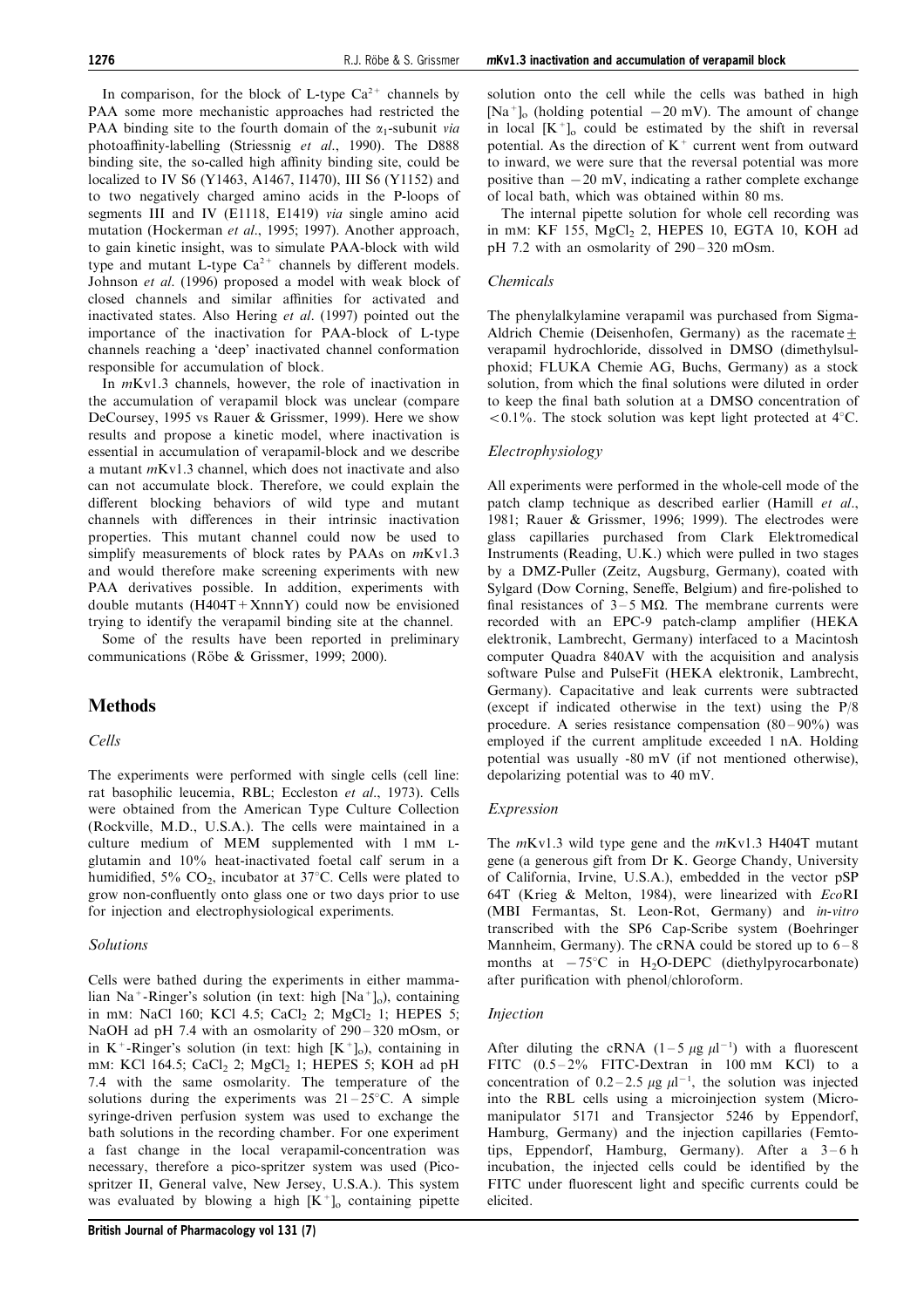In comparison, for the block of L-type  $Ca^{2+}$  channels by PAA some more mechanistic approaches had restricted the PAA binding site to the fourth domain of the  $\alpha_1$ -subunit via photoaffinity-labelling (Striessnig et al., 1990). The D888 binding site, the so-called high affinity binding site, could be localized to IV S6 (Y1463, A1467, I1470), III S6 (Y1152) and to two negatively charged amino acids in the P-loops of segments III and IV (E1118, E1419) via single amino acid mutation (Hockerman et al., 1995; 1997). Another approach, to gain kinetic insight, was to simulate PAA-block with wild type and mutant L-type  $Ca^{2+}$  channels by different models. Johnson et al. (1996) proposed a model with weak block of closed channels and similar affinities for activated and inactivated states. Also Hering et al. (1997) pointed out the importance of the inactivation for PAA-block of L-type channels reaching a `deep' inactivated channel conformation responsible for accumulation of block.

In mKv1.3 channels, however, the role of inactivation in the accumulation of verapamil block was unclear (compare DeCoursey, 1995 vs Rauer & Grissmer, 1999). Here we show results and propose a kinetic model, where inactivation is essential in accumulation of verapamil-block and we describe a mutant mKv1.3 channel, which does not inactivate and also can not accumulate block. Therefore, we could explain the different blocking behaviors of wild type and mutant channels with differences in their intrinsic inactivation properties. This mutant channel could now be used to simplify measurements of block rates by PAAs on  $mKv1.3$ and would therefore make screening experiments with new PAA derivatives possible. In addition, experiments with double mutants  $(H404T+XnnnY)$  could now be envisioned trying to identify the verapamil binding site at the channel.

Some of the results have been reported in preliminary communications (Röbe & Grissmer, 1999; 2000).

# Methods

### Cells

The experiments were performed with single cells (cell line: rat basophilic leucemia, RBL; Eccleston et al., 1973). Cells were obtained from the American Type Culture Collection (Rockville, M.D., U.S.A.). The cells were maintained in a culture medium of MEM supplemented with 1 mM Lglutamin and 10% heat-inactivated foetal calf serum in a humidified, 5%  $CO<sub>2</sub>$ , incubator at 37°C. Cells were plated to grow non-confluently onto glass one or two days prior to use for injection and electrophysiological experiments.

### Solutions

Cells were bathed during the experiments in either mammalian Na<sup>+</sup>-Ringer's solution (in text: high  $[Na<sup>+</sup>]<sub>o</sub>$ ), containing in mM: NaCl 160; KCl 4.5; CaCl<sub>2</sub> 2; MgCl<sub>2</sub> 1; HEPES 5; NaOH ad pH 7.4 with an osmolarity of  $290 - 320$  mOsm, or in  $K^+$ -Ringer's solution (in text: high  $[K^+]_0$ ), containing in mM: KCl 164.5; CaCl<sub>2</sub> 2; MgCl<sub>2</sub> 1; HEPES 5; KOH ad pH 7.4 with the same osmolarity. The temperature of the solutions during the experiments was  $21-25$ °C. A simple syringe-driven perfusion system was used to exchange the bath solutions in the recording chamber. For one experiment a fast change in the local verapamil-concentration was necessary, therefore a pico-spritzer system was used (Picospritzer II, General valve, New Jersey, U.S.A.). This system was evaluated by blowing a high  $[K^+]_0$  containing pipette solution onto the cell while the cells was bathed in high  $[Na^+]$ <sub>o</sub> (holding potential  $-20$  mV). The amount of change in local  $[K^+]_0$  could be estimated by the shift in reversal potential. As the direction of  $K^+$  current went from outward to inward, we were sure that the reversal potential was more positive than  $-20$  mV, indicating a rather complete exchange of local bath, which was obtained within 80 ms.

The internal pipette solution for whole cell recording was in mM: KF 155, MgCl<sub>2</sub> 2, HEPES 10, EGTA 10, KOH ad pH 7.2 with an osmolarity of  $290 - 320$  mOsm.

## Chemicals

The phenylalkylamine verapamil was purchased from Sigma-Aldrich Chemie (Deisenhofen, Germany) as the racemate + verapamil hydrochloride, dissolved in DMSO (dimethylsulphoxid; FLUKA Chemie AG, Buchs, Germany) as a stock solution, from which the final solutions were diluted in order to keep the final bath solution at a DMSO concentration of  $< 0.1\%$ . The stock solution was kept light protected at 4°C.

## Electrophysiology

All experiments were performed in the whole-cell mode of the patch clamp technique as described earlier (Hamill et al., 1981; Rauer & Grissmer, 1996; 1999). The electrodes were glass capillaries purchased from Clark Elektromedical Instruments (Reading, U.K.) which were pulled in two stages by a DMZ-Puller (Zeitz, Augsburg, Germany), coated with Sylgard (Dow Corning, Seneffe, Belgium) and fire-polished to final resistances of  $3-5$  M $\Omega$ . The membrane currents were recorded with an EPC-9 patch-clamp amplifier (HEKA elektronik, Lambrecht, Germany) interfaced to a Macintosh computer Quadra 840AV with the acquisition and analysis software Pulse and PulseFit (HEKA elektronik, Lambrecht, Germany). Capacitative and leak currents were subtracted (except if indicated otherwise in the text) using the P/8 procedure. A series resistance compensation  $(80 - 90\%)$  was employed if the current amplitude exceeded 1 nA. Holding potential was usually -80 mV (if not mentioned otherwise), depolarizing potential was to 40 mV.

### Expression

The mKv1.3 wild type gene and the mKv1.3 H404T mutant gene (a generous gift from Dr K. George Chandy, University of California, Irvine, U.S.A.), embedded in the vector pSP 64T (Krieg & Melton, 1984), were linearized with EcoRI (MBI Fermantas, St. Leon-Rot, Germany) and in-vitro transcribed with the SP6 Cap-Scribe system (Boehringer Mannheim, Germany). The cRNA could be stored up to  $6-8$ months at  $-75^{\circ}$ C in H<sub>2</sub>O-DEPC (diethylpyrocarbonate) after purification with phenol/chloroform.

### **Injection**

After diluting the cRNA  $(1-5 \mu g \mu l^{-1})$  with a fluorescent FITC  $(0.5-2\%$  FITC-Dextran in 100 mM KCl) to a concentration of 0.2–2.5  $\mu$ g  $\mu$ 1<sup>-1</sup>, the solution was injected into the RBL cells using a microinjection system (Micromanipulator 5171 and Transjector 5246 by Eppendorf, Hamburg, Germany) and the injection capillaries (Femtotips, Eppendorf, Hamburg, Germany). After a  $3-6$  h incubation, the injected cells could be identified by the FITC under fluorescent light and specific currents could be elicited.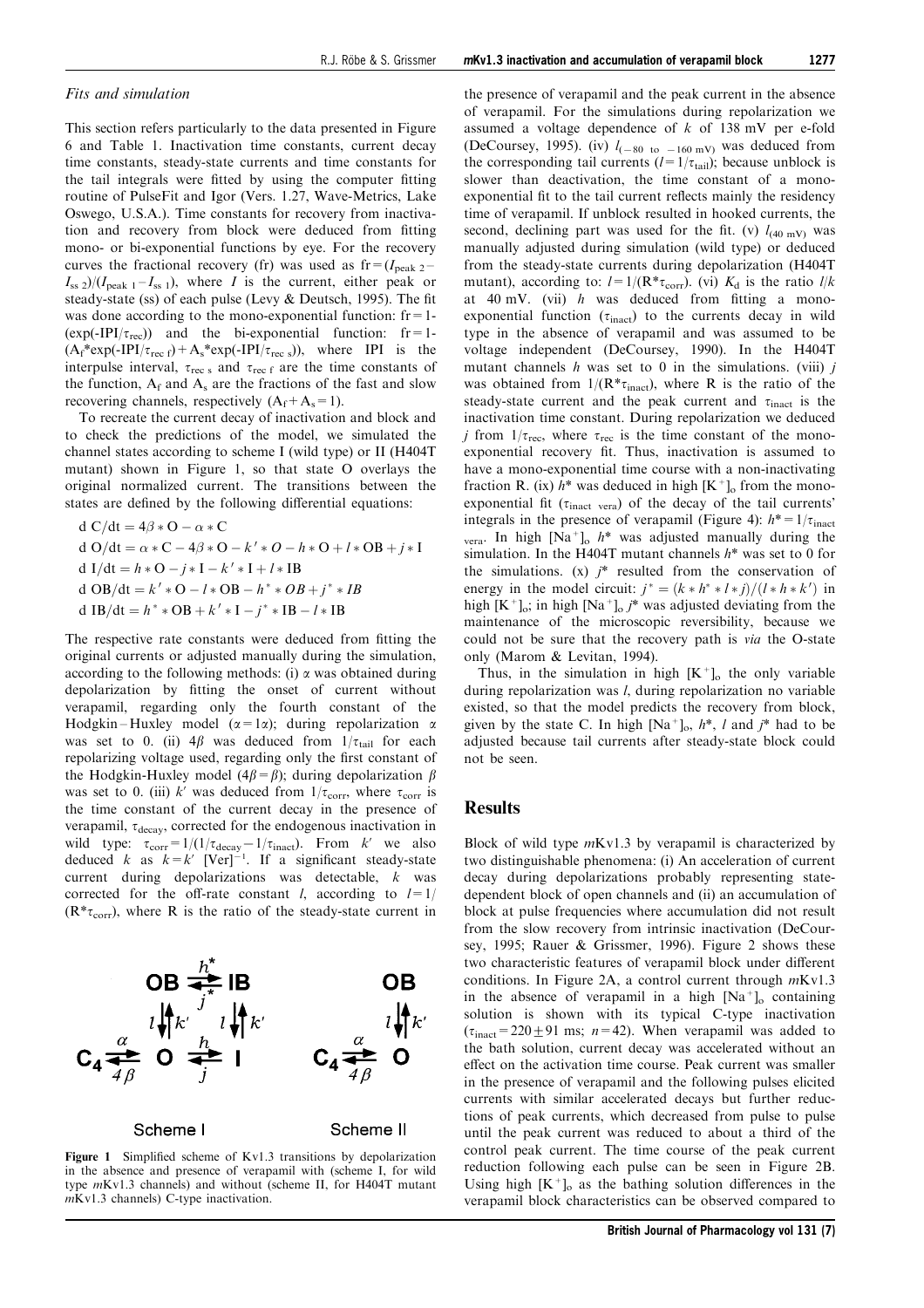#### Fits and simulation

This section refers particularly to the data presented in [Figure](#page-8-0) [6](#page-8-0) and Table 1. Inactivation time constants, current decay time constants, steady-state currents and time constants for the tail integrals were fitted by using the computer fitting routine of PulseFit and Igor (Vers. 1.27, Wave-Metrics, Lake Oswego, U.S.A.). Time constants for recovery from inactivation and recovery from block were deduced from fitting mono- or bi-exponential functions by eye. For the recovery curves the fractional recovery (fr) was used as  $fr = (I_{\text{peak 2}} - I_{\text{peak 2}})$  $I_{ss}$  2)/( $I_{peak 1}$  –  $I_{ss}$  1), where I is the current, either peak or steady-state (ss) of each pulse (Levy  $\&$  Deutsch, 1995). The fit was done according to the mono-exponential function:  $fr = 1$ - $(exp(-IPI/\tau_{rec}))$  and the bi-exponential function: fr=1- $(A_f^*exp(-IPI/\tau_{rec\ f})+A_s^*exp(-IPI/\tau_{rec\ s})),$  where IPI is the interpulse interval,  $\tau_{\text{rec s}}$  and  $\tau_{\text{rec f}}$  are the time constants of the function,  $A_f$  and  $A_s$  are the fractions of the fast and slow recovering channels, respectively  $(A_f+A_s=1)$ .

To recreate the current decay of inactivation and block and to check the predictions of the model, we simulated the channel states according to scheme I (wild type) or II (H404T mutant) shown in Figure 1, so that state O overlays the original normalized current. The transitions between the states are defined by the following differential equations:

d C/dt = 
$$
4\beta * O - \alpha * C
$$
  
d O/dt =  $\alpha * C - 4\beta * O - k' * O - h * O + l * OB + j * I$   
d I/dt =  $h * O - j * I - k' * I + l * IB$   
d OB/dt =  $k' * O - l * OB - h^* * OB + j^* * IB$   
d IB/dt =  $h^* * OB + k' * I - j^* * IB - l * IB$ 

The respective rate constants were deduced from fitting the original currents or adjusted manually during the simulation, according to the following methods: (i)  $\alpha$  was obtained during depolarization by fitting the onset of current without verapamil, regarding only the fourth constant of the Hodgkin - Huxley model  $(\alpha = 1\alpha)$ ; during repolarization  $\alpha$ was set to 0. (ii)  $4\beta$  was deduced from  $1/\tau_{tail}$  for each repolarizing voltage used, regarding only the first constant of the Hodgkin-Huxley model ( $4\beta = \beta$ ); during depolarization  $\beta$ was set to 0. (iii) k' was deduced from  $1/\tau_{\text{corr}}$ , where  $\tau_{\text{corr}}$  is the time constant of the current decay in the presence of verapamil,  $\tau_{decay}$ , corrected for the endogenous inactivation in wild type:  $\tau_{\text{corr}}=1/(1/\tau_{\text{decay}}-1/\tau_{\text{inact}})$ . From k' we also deduced k as  $k = k'$  [Ver]<sup>-1</sup>. If a significant steady-state current during depolarizations was detectable, k was corrected for the off-rate constant *l*, according to  $l=1/2$  $(R^* \tau_{\text{corr}})$ , where R is the ratio of the steady-state current in



Figure 1 Simplified scheme of Kv1.3 transitions by depolarization in the absence and presence of verapamil with (scheme I, for wild type mKv1.3 channels) and without (scheme II, for H404T mutant mKv1.3 channels) C-type inactivation.

the presence of verapamil and the peak current in the absence of verapamil. For the simulations during repolarization we assumed a voltage dependence of  $k$  of 138 mV per e-fold (DeCoursey, 1995). (iv)  $l_{(-80 \text{ to } -160 \text{ mV})}$  was deduced from the corresponding tail currents  $(l=1/\tau_{tail})$ ; because unblock is slower than deactivation, the time constant of a monoexponential fit to the tail current reflects mainly the residency time of verapamil. If unblock resulted in hooked currents, the second, declining part was used for the fit. (v)  $l_{(40 \text{ mV})}$  was manually adjusted during simulation (wild type) or deduced from the steady-state currents during depolarization (H404T mutant), according to:  $l=1/(\mathbf{R}*\tau_{\text{corr}})$ . (vi)  $K_d$  is the ratio  $l/k$ at 40 mV. (vii)  $h$  was deduced from fitting a monoexponential function  $(\tau_{\text{inact}})$  to the currents decay in wild type in the absence of verapamil and was assumed to be voltage independent (DeCoursey, 1990). In the H404T mutant channels  $h$  was set to 0 in the simulations. (viii)  $i$ was obtained from  $1/(R^* \tau_{\text{inact}})$ , where R is the ratio of the steady-state current and the peak current and  $\tau_{\text{inact}}$  is the inactivation time constant. During repolarization we deduced *j* from  $1/\tau_{\text{rec}}$ , where  $\tau_{\text{rec}}$  is the time constant of the monoexponential recovery fit. Thus, inactivation is assumed to have a mono-exponential time course with a non-inactivating fraction R. (ix)  $h^*$  was deduced in high  $[K^+]_0$  from the monoexponential fit ( $\tau_{\text{inact}}$  vera) of the decay of the tail currents' integrals in the presence of verapamil ([Figure 4\)](#page-8-0):  $h^* = 1/\tau_{\text{inact}}$ vera. In high  $[Na^+]_o$  h<sup>\*</sup> was adjusted manually during the simulation. In the H404T mutant channels  $h^*$  was set to 0 for the simulations.  $(x)$   $i^*$  resulted from the conservation of energy in the model circuit:  $j^* = (k * h^* * l * j)/(l * h * k')$  in high  $[K^+]_0$ ; in high  $[Na^+]_0 j^*$  was adjusted deviating from the maintenance of the microscopic reversibility, because we could not be sure that the recovery path is via the O-state only (Marom & Levitan, 1994).

Thus, in the simulation in high  $[K^+]_0$  the only variable during repolarization was *l*, during repolarization no variable existed, so that the model predicts the recovery from block, given by the state C. In high  $[Na^+]_0$ ,  $h^*$ , l and  $j^*$  had to be adjusted because tail currents after steady-state block could not be seen.

### **Results**

Block of wild type  $mKv1.3$  by verapamil is characterized by two distinguishable phenomena: (i) An acceleration of current decay during depolarizations probably representing statedependent block of open channels and (ii) an accumulation of block at pulse frequencies where accumulation did not result from the slow recovery from intrinsic inactivation (DeCoursey, 1995; Rauer & Grissmer, 1996). [Figure 2](#page-3-0) shows these two characteristic features of verapamil block under different conditions. In [Figure 2A](#page-8-0), a control current through mKv1.3 in the absence of verapamil in a high  $[Na<sup>+</sup>]_{o}$  containing solution is shown with its typical C-type inactivation  $(\tau_{\text{inact}}=220\pm91 \text{ ms}; n=42)$ . When verapamil was added to the bath solution, current decay was accelerated without an effect on the activation time course. Peak current was smaller in the presence of verapamil and the following pulses elicited currents with similar accelerated decays but further reductions of peak currents, which decreased from pulse to pulse until the peak current was reduced to about a third of the control peak current. The time course of the peak current reduction following each pulse can be seen in [Figure 2B.](#page-8-0) Using high  $[K^+]_0$  as the bathing solution differences in the verapamil block characteristics can be observed compared to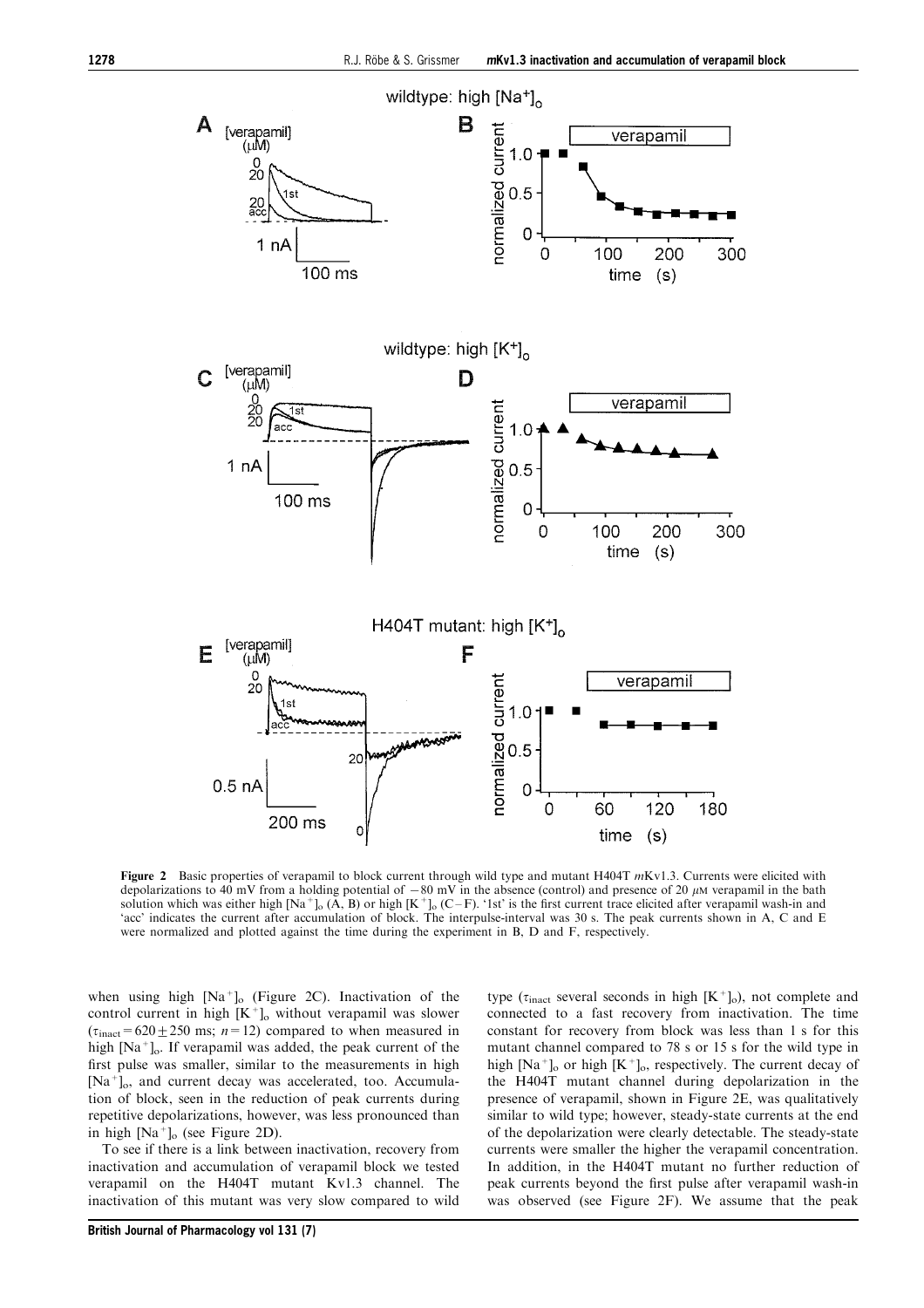<span id="page-3-0"></span>

Figure 2 Basic properties of verapamil to block current through wild type and mutant H404T  $mKv1.3$ . Currents were elicited with depolarizations to 40 mV from a holding potential of  $-80$  mV in the absence (control) and presence of 20  $\mu$ M verapamil in the bath solution which was either high [Na<sup>+</sup>]<sub>o</sub> (A, B) or high [K<sup>+</sup>]<sub>o</sub> (C-F). '1st' is the `acc' indicates the current after accumulation of block. The interpulse-interval was 30 s. The peak currents shown in A, C and E were normalized and plotted against the time during the experiment in B, D and F, respectively.

when using high  $[Na<sup>+</sup>]_{o}$  ([Figure 2C](#page-8-0)). Inactivation of the control current in high  $[K^+]_o$  without verapamil was slower  $(\tau_{\text{inact}}=620\pm250 \text{ ms}; n=12)$  compared to when measured in high [Na<sup>+</sup>]<sub>o</sub>. If verapamil was added, the peak current of the first pulse was smaller, similar to the measurements in high  $[Na^+]$ <sub>o</sub>, and current decay was accelerated, too. Accumulation of block, seen in the reduction of peak currents during repetitive depolarizations, however, was less pronounced than in high  $[Na^+]_o$  (see [Figure 2D](#page-8-0)).

To see if there is a link between inactivation, recovery from inactivation and accumulation of verapamil block we tested verapamil on the H404T mutant Kv1.3 channel. The inactivation of this mutant was very slow compared to wild type ( $\tau_{\text{inact}}$  several seconds in high  $[K^+]_0$ ), not complete and connected to a fast recovery from inactivation. The time constant for recovery from block was less than 1 s for this mutant channel compared to 78 s or 15 s for the wild type in high  $[Na^+]_o$  or high  $[K^+]_o$ , respectively. The current decay of the H404T mutant channel during depolarization in the presence of verapamil, shown in [Figure 2E](#page-8-0), was qualitatively similar to wild type; however, steady-state currents at the end of the depolarization were clearly detectable. The steady-state currents were smaller the higher the verapamil concentration. In addition, in the H404T mutant no further reduction of peak currents beyond the first pulse after verapamil wash-in was observed (see [Figure 2F](#page-8-0)). We assume that the peak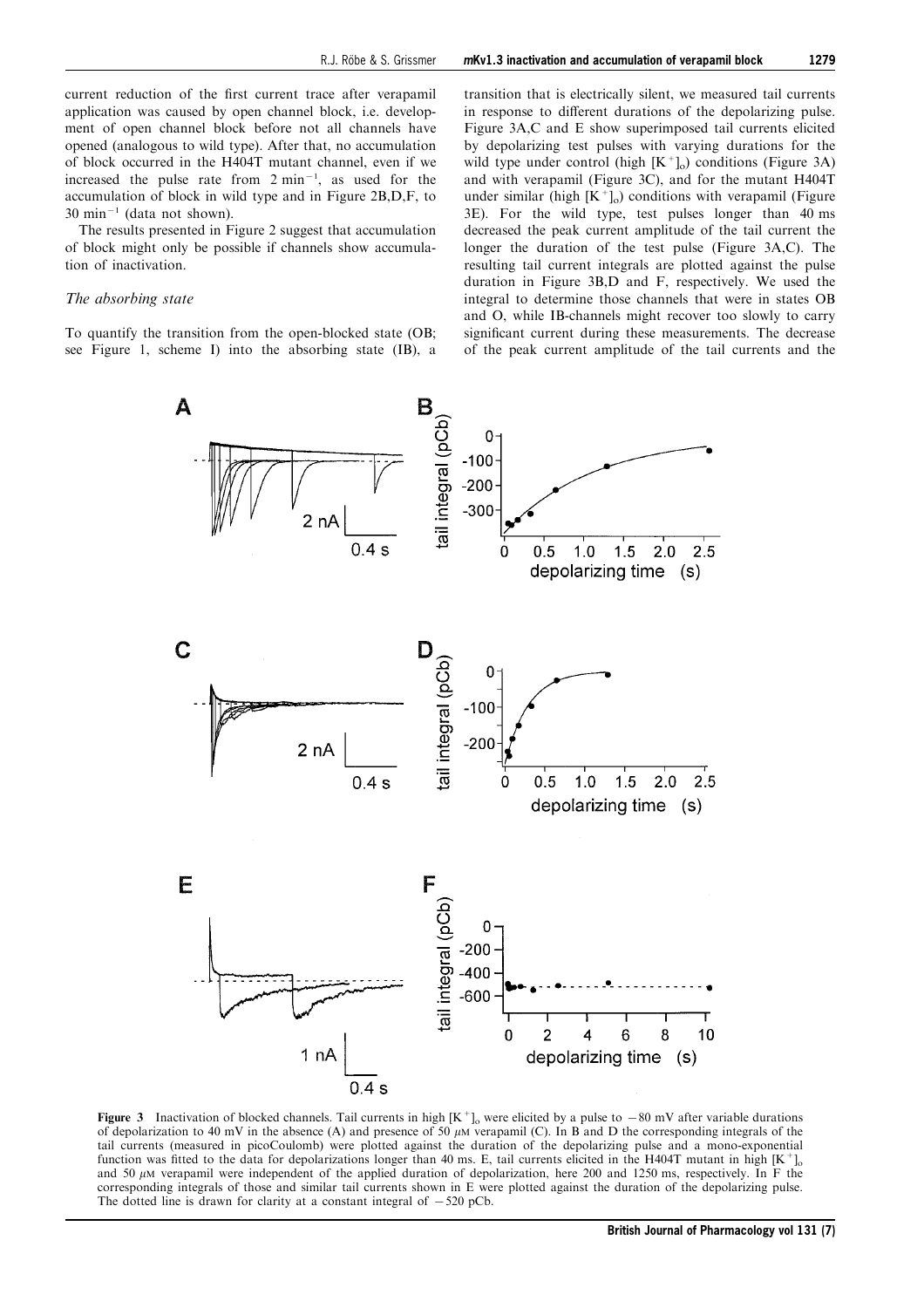current reduction of the first current trace after verapamil application was caused by open channel block, i.e. development of open channel block before not all channels have opened (analogous to wild type). After that, no accumulation of block occurred in the H404T mutant channel, even if we increased the pulse rate from  $2 \text{ min}^{-1}$ , as used for the accumulation of block in wild type and in [Figure 2B,D,F](#page-8-0), to  $30 \text{ min}^{-1}$  (data not shown).

The results presented in [Figure 2](#page-8-0) suggest that accumulation of block might only be possible if channels show accumulation of inactivation.

### The absorbing state

To quantify the transition from the open-blocked state (OB; see [Figure 1](#page-8-0), scheme I) into the absorbing state (IB), a

transition that is electrically silent, we measured tail currents in response to different durations of the depolarizing pulse. Figure 3A,C and E show superimposed tail currents elicited by depolarizing test pulses with varying durations for the wild type under control (high  $[K^+]_0$ ) conditions ([Figure 3A\)](#page-8-0) and with verapamil [\(Figure 3C\)](#page-8-0), and for the mutant H404T under similar (high  $[K^+]_0$ ) conditions with verapamil ([Figure](#page-8-0) [3E](#page-8-0)). For the wild type, test pulses longer than 40 ms decreased the peak current amplitude of the tail current the longer the duration of the test pulse [\(Figure 3A,C](#page-8-0)). The resulting tail current integrals are plotted against the pulse duration in [Figure 3B,D and F](#page-8-0), respectively. We used the integral to determine those channels that were in states OB and O, while IB-channels might recover too slowly to carry significant current during these measurements. The decrease of the peak current amplitude of the tail currents and the



Figure 3 Inactivation of blocked channels. Tail currents in high  $[K^+]_0$  were elicited by a pulse to  $-80$  mV after variable durations of depolarization to 40 mV in the absence (A) and presence of 50  $\mu$ M verapamil (C). In B and D the corresponding integrals of the tail currents (measured in picoCoulomb) were plotted against the duration of the depolarizing pulse and a mono-exponential function was fitted to the data for depolarizations longer than 40 ms. E, tail currents elicited in the H404T mutant in high  $[K^+]_0$ and 50  $\mu$ M verapamil were independent of the applied duration of depolarization, here 200 and 1250 ms, respectively. In F the corresponding integrals of those and similar tail currents shown in E were plotted against the duration of the depolarizing pulse. The dotted line is drawn for clarity at a constant integral of  $-520$  pCb.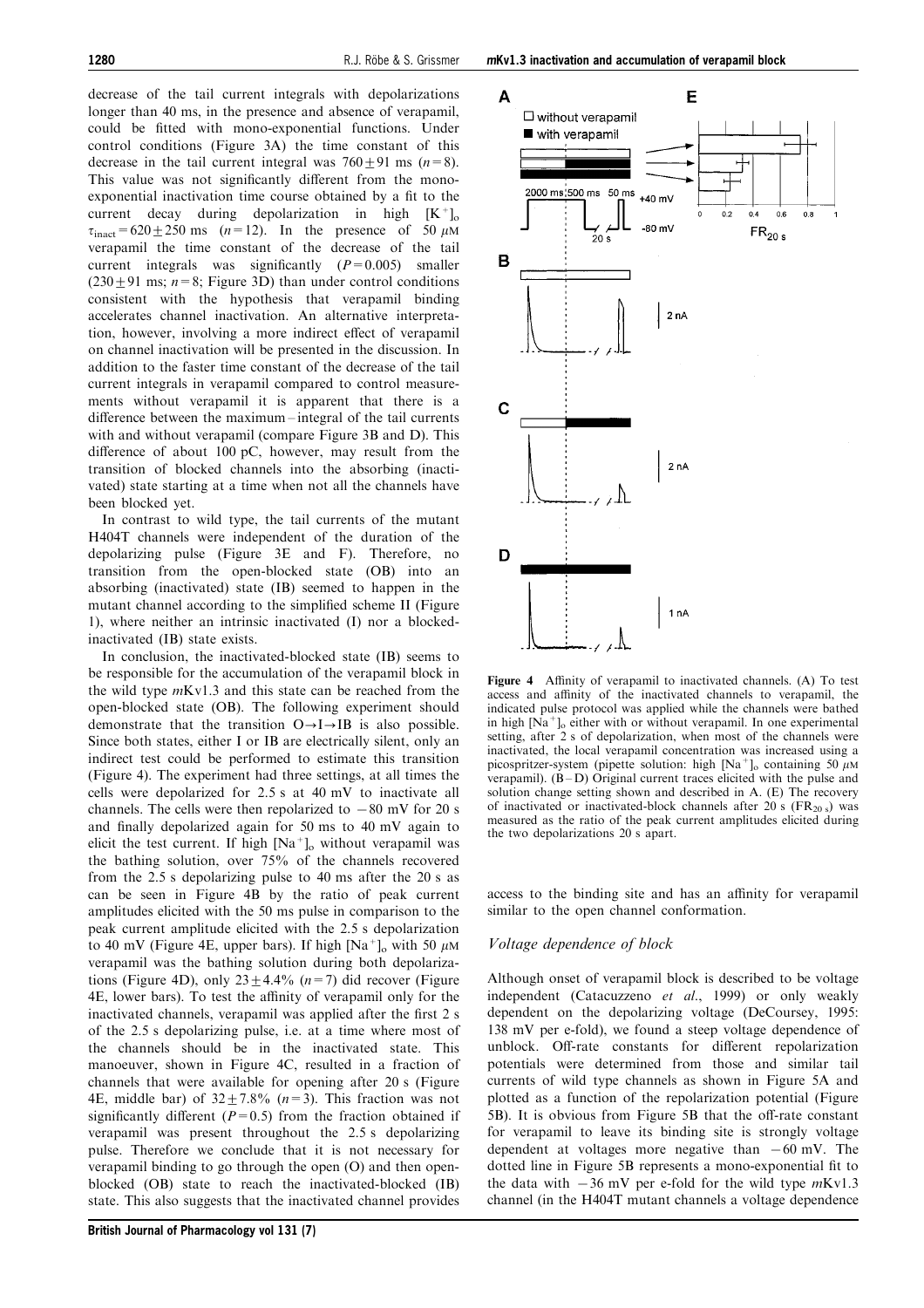decrease of the tail current integrals with depolarizations longer than 40 ms, in the presence and absence of verapamil, could be fitted with mono-exponential functions. Under control conditions ([Figure 3A](#page-8-0)) the time constant of this decrease in the tail current integral was  $760 \pm 91$  ms (n=8). This value was not significantly different from the monoexponential inactivation time course obtained by a fit to the current decay during depolarization in high  $[K^+]_0$  $\tau_{\text{inact}}$ =620 ± 250 ms (n=12). In the presence of 50  $\mu$ M verapamil the time constant of the decrease of the tail current integrals was significantly  $(P=0.005)$  smaller  $(230+91 \text{ ms}; n=8; \text{ Figure } 3D)$  than under control conditions consistent with the hypothesis that verapamil binding accelerates channel inactivation. An alternative interpretation, however, involving a more indirect effect of verapamil on channel inactivation will be presented in the discussion. In addition to the faster time constant of the decrease of the tail current integrals in verapamil compared to control measurements without verapamil it is apparent that there is a difference between the maximum – integral of the tail currents with and without verapamil (compare [Figure 3B and D\)](#page-8-0). This difference of about  $100$  pC, however, may result from the transition of blocked channels into the absorbing (inactivated) state starting at a time when not all the channels have been blocked yet.

In contrast to wild type, the tail currents of the mutant H404T channels were independent of the duration of the depolarizing pulse [\(Figure 3E and F](#page-8-0)). Therefore, no transition from the open-blocked state (OB) into an absorbing (inactivated) state (IB) seemed to happen in the mutant channel according to the simplified scheme II ([Figure](#page-8-0) [1](#page-8-0)), where neither an intrinsic inactivated (I) nor a blockedinactivated (IB) state exists.

In conclusion, the inactivated-blocked state (IB) seems to be responsible for the accumulation of the verapamil block in the wild type mKv1.3 and this state can be reached from the open-blocked state (OB). The following experiment should demonstrate that the transition  $O \rightarrow I \rightarrow IB$  is also possible. Since both states, either I or IB are electrically silent, only an indirect test could be performed to estimate this transition (Figure 4). The experiment had three settings, at all times the cells were depolarized for 2.5 s at 40 mV to inactivate all channels. The cells were then repolarized to  $-80$  mV for 20 s and finally depolarized again for 50 ms to 40 mV again to elicit the test current. If high  $[Na^+]_o$  without verapamil was the bathing solution, over 75% of the channels recovered from the 2.5 s depolarizing pulse to 40 ms after the 20 s as can be seen in [Figure 4B](#page-8-0) by the ratio of peak current amplitudes elicited with the 50 ms pulse in comparison to the peak current amplitude elicited with the 2.5 s depolarization to 40 mV ([Figure 4E](#page-8-0), upper bars). If high  $[Na^+]_o$  with 50  $\mu$ M verapamil was the bathing solution during both depolariza-tions ([Figure 4D](#page-8-0)), only  $23 \pm 4.4\%$  ( $n=7$ ) did recover ([Figure](#page-8-0) [4E](#page-8-0), lower bars). To test the affinity of verapamil only for the inactivated channels, verapamil was applied after the first 2 s of the 2.5 s depolarizing pulse, i.e. at a time where most of the channels should be in the inactivated state. This manoeuver, shown in [Figure 4C](#page-8-0), resulted in a fraction of channels that were available for opening after 20 s ([Figure](#page-8-0) [4E](#page-8-0), middle bar) of  $32+7.8\%$  ( $n=3$ ). This fraction was not significantly different ( $P=0.5$ ) from the fraction obtained if verapamil was present throughout the 2.5 s depolarizing pulse. Therefore we conclude that it is not necessary for verapamil binding to go through the open (O) and then openblocked (OB) state to reach the inactivated-blocked (IB) state. This also suggests that the inactivated channel provides



Figure 4 Affinity of verapamil to inactivated channels. (A) To test access and affinity of the inactivated channels to verapamil, the indicated pulse protocol was applied while the channels were bathed in high  $[\text{Na}^+]_o$  either with or without verapamil. In one experimental setting, after 2 s of depolarization, when most of the channels were inactivated, the local verapamil concentration was increased using a picospritzer-system (pipette solution: high  $[Na^+]$ <sub>o</sub> containing 50  $\mu$ M verapamil).  $(B - D)$  Original current traces elicited with the pulse and solution change setting shown and described in A. (E) The recovery of inactivated or inactivated-block channels after 20 s ( $FR<sub>20 s</sub>$ ) was measured as the ratio of the peak current amplitudes elicited during the two depolarizations 20 s apart.

access to the binding site and has an affinity for verapamil similar to the open channel conformation.

#### Voltage dependence of block

Although onset of verapamil block is described to be voltage independent (Catacuzzeno et al., 1999) or only weakly dependent on the depolarizing voltage (DeCoursey, 1995: 138 mV per e-fold), we found a steep voltage dependence of unblock. Off-rate constants for different repolarization potentials were determined from those and similar tail currents of wild type channels as shown in [Figure 5A](#page-6-0) and plotted as a function of the repolarization potential ([Figure](#page-8-0) [5B](#page-8-0)). It is obvious from [Figure 5B](#page-8-0) that the off-rate constant for verapamil to leave its binding site is strongly voltage dependent at voltages more negative than  $-60$  mV. The dotted line in [Figure 5B](#page-8-0) represents a mono-exponential fit to the data with  $-36$  mV per e-fold for the wild type  $mKv1.3$ channel (in the H404T mutant channels a voltage dependence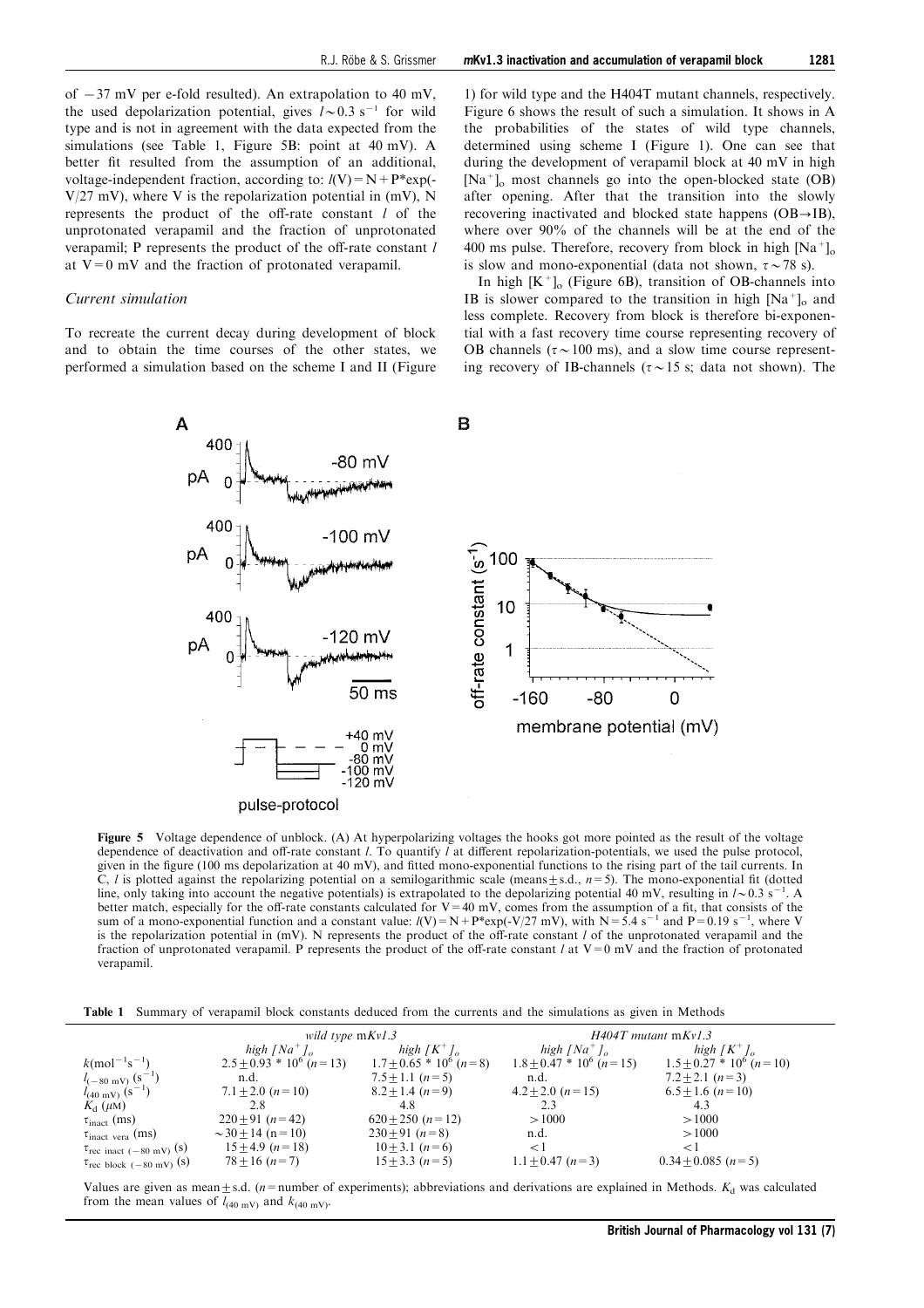<span id="page-6-0"></span>of  $-37$  mV per e-fold resulted). An extrapolation to 40 mV, the used depolarization potential, gives  $l \sim 0.3$  s<sup>-1</sup> for wild type and is not in agreement with the data expected from the simulations (see Table 1, [Figure 5B](#page-8-0): point at 40 mV). A better fit resulted from the assumption of an additional, voltage-independent fraction, according to:  $l(V) = N + P*exp(-P)$  $V/27$  mV), where V is the repolarization potential in (mV), N represents the product of the off-rate constant  $l$  of the unprotonated verapamil and the fraction of unprotonated verapamil; P represents the product of the off-rate constant  $l$ at  $V=0$  mV and the fraction of protonated verapamil.

#### Current simulation

To recreate the current decay during development of block and to obtain the time courses of the other states, we performed a simulation based on the scheme I and II ([Figure](#page-8-0)

[1](#page-8-0)) for wild type and the H404T mutant channels, respectively. [Figure 6](#page-7-0) shows the result of such a simulation. It shows in A the probabilities of the states of wild type channels, determined using scheme I ([Figure 1](#page-8-0)). One can see that during the development of verapamil block at 40 mV in high  $[Na^+]$ <sub>o</sub> most channels go into the open-blocked state (OB) after opening. After that the transition into the slowly recovering inactivated and blocked state happens  $(OB\rightarrow IB)$ , where over 90% of the channels will be at the end of the 400 ms pulse. Therefore, recovery from block in high  $[Na^+]_0$ is slow and mono-exponential (data not shown,  $\tau \sim 78$  s).

In high  $[K^+]_0$  ([Figure 6B](#page-8-0)), transition of OB-channels into IB is slower compared to the transition in high  $[Na^+]_0$  and less complete. Recovery from block is therefore bi-exponential with a fast recovery time course representing recovery of OB channels ( $\tau \sim 100$  ms), and a slow time course representing recovery of IB-channels ( $\tau \sim 15$  s; data not shown). The



Figure 5 Voltage dependence of unblock. (A) At hyperpolarizing voltages the hooks got more pointed as the result of the voltage dependence of deactivation and off-rate constant  $l$ . To quantify  $l$  at different repolarization-potentials, we used the pulse protocol, given in the figure (100 ms depolarization at 40 mV), and fitted mono-exponential functions to the rising part of the tail currents. In C, l is plotted against the repolarizing potential on a semilogarithmic scale (means  $\pm$  s.d.,  $n=5$ ). The mono-exponential fit (dotted line, only taking into account the negative potentials) is extrapolated to the depolarizing potential 40 mV, resulting in  $l \sim 0.3$  s<sup>-1</sup>. A better match, especially for the off-rate constants calculated for V=40 mV, comes from the assumption of a fit, that consists of the sum of a mono-exponential function and a constant value:  $l(V) = N + P^*exp(-V/27 \text{ mV})$ , with is the repolarization potential in (mV). N represents the product of the off-rate constant  $l$  of the unprotonated verapamil and the fraction of unprotonated verapamil. P represents the product of the off-rate constant l at  $V=0$  mV and the fraction of protonated verapamil.

Table 1 Summary of verapamil block constants deduced from the currents and the simulations as given in Methods

|                                          | wild type mKv1.3                          |                               | $H404T$ mutant mKv1.3                     |                                           |
|------------------------------------------|-------------------------------------------|-------------------------------|-------------------------------------------|-------------------------------------------|
|                                          | high $[Na^+]_o$                           | high $\left[K^{+}\right]_{o}$ | high $[Na^+]_o$                           | high $\left[K^+\right]_o$                 |
| $k$ (mol <sup>-1</sup> s <sup>-1</sup> ) | $2.5 \pm 0.93$ * 10 <sup>6</sup> (n = 13) | $1.7 \pm 0.65 * 10^6$ (n = 8) | $1.8 \pm 0.47$ * 10 <sup>6</sup> (n = 15) | $1.5 \pm 0.27$ * 10 <sup>6</sup> (n = 10) |
| $l_{(-80 \text{ mV})} (\text{s}^{-1})$   | n.d.                                      | $7.5 \pm 1.1$ (n = 5)         | n.d.                                      | $7.2 + 2.1$ $(n=3)$                       |
| $l_{(40 \text{ mV})}$ (s <sup>-1</sup> ) | $7.1 \pm 2.0$ (n = 10)                    | $8.2 \pm 1.4$ $(n=9)$         | $4.2 \pm 2.0$ (n = 15)                    | $6.5 \pm 1.6$ (n = 10)                    |
| $K_{d}$ ( $\mu$ M)                       | 2.8                                       | 4.8                           |                                           | 4.3                                       |
| $\tau_{\text{inact}}$ (ms)               | $220+91(n=42)$                            | $620+250 (n=12)$              | >1000                                     | >1000                                     |
| $\tau_{\text{inact}}$ vera (ms)          | $\sim$ 30 $\pm$ 14 (n = 10)               | $230+91(n=8)$                 | n.d.                                      | >1000                                     |
| $\tau_{\text{rec inact (-80 mV) (S)}}$   | $15+4.9$ $(n=18)$                         | $10+3.1$ $(n=6)$              | $\lt$ 1                                   | < 1                                       |
| $\tau_{\text{rec block (-80 mV) (S)}}$   | $78 \pm 16$ (n = 7)                       | $15 \pm 3.3$ $(n=5)$          | $1.1 \pm 0.47$ (n = 3)                    | $0.34 + 0.085$ $(n=5)$                    |

Values are given as mean $\pm$ s.d. (n=number of experiments); abbreviations and derivations are explained in Methods.  $K_d$  was calculated from the mean values of  $l_{(40 \text{ mV})}$  and  $k_{(40 \text{ mV})}$ .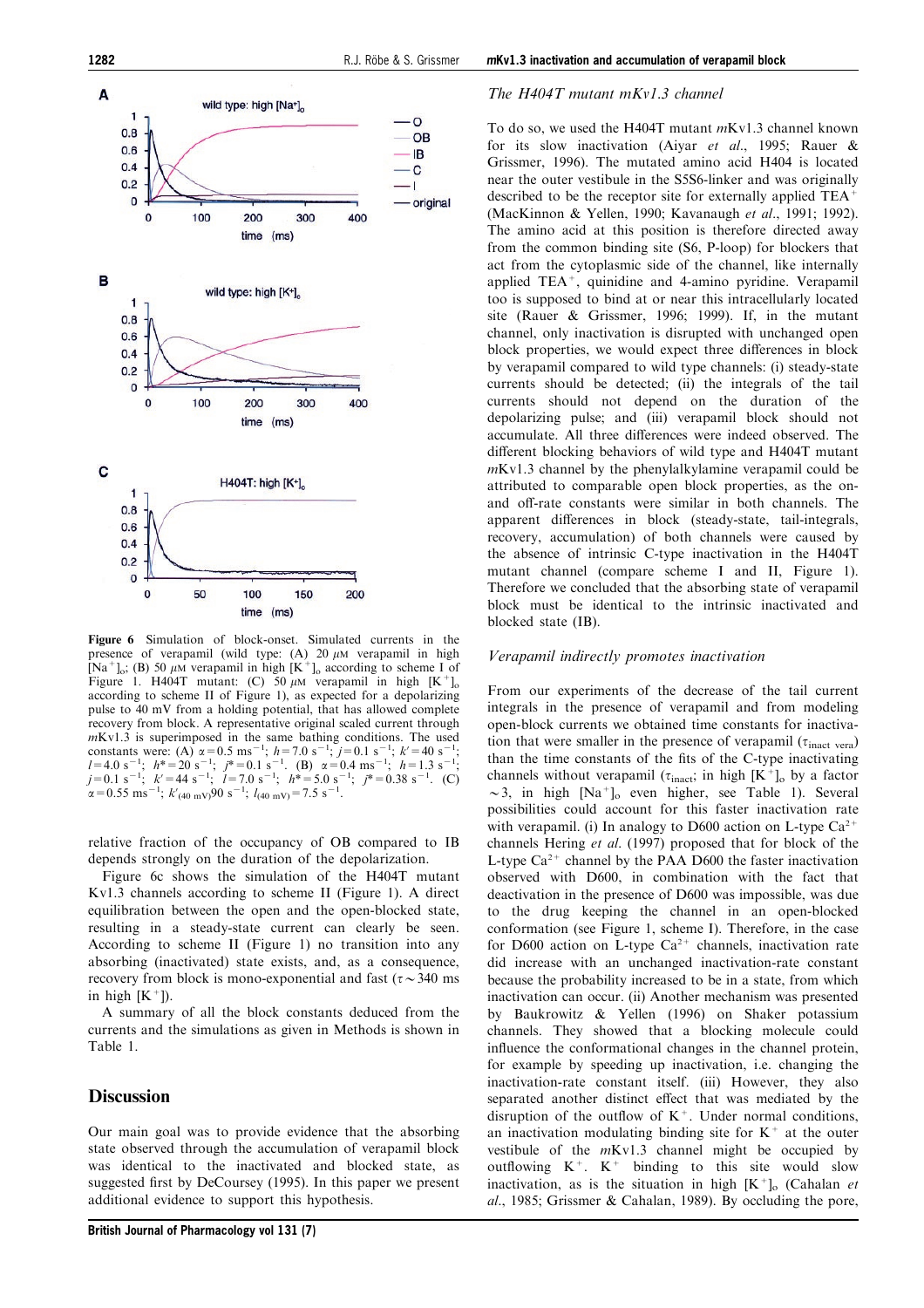<span id="page-7-0"></span>

Figure 6 Simulation of block-onset. Simulated currents in the presence of verapamil (wild type:  $(A)$  20  $\mu$ M verapamil in high  $[Na^+]_0$ ; (B) 50  $\mu$ M verapamil in high  $[K^+]_0$  according to scheme I of [Figure 1](#page-8-0). H404T mutant: (C) 50  $\mu$ M verapamil in high  $[K^+]_0$ according to scheme II of [Figure 1\)](#page-8-0), as expected for a depolarizing pulse to 40 mV from a holding potential, that has allowed complete recovery from block. A representative original scaled current through  $mKv1.3$  is superimposed in the same bathing conditions. The used constants were: (A)  $\alpha$  = 0.5 ms<sup>-1</sup>; h=7.0 s<sup>-1</sup>; j=0.1 s<sup>-1</sup>; k' = 40 s<sup>-1</sup>;<br>
l=4.0 s<sup>-1</sup>; h\* = 20 s<sup>-1</sup>; j\* = 0.1 s<sup>-1</sup>. (B)  $\alpha$  = 0.4 ms<sup>-1</sup>; h=1.3 s<sup>-1</sup>;<br>
j=0.1 s<sup>-1</sup>; k' = 44 s<sup>-1</sup>; l=7.0 s<sup>-1</sup>; h\* = 5.0 s<sup>-1</sup>; j\*  $\alpha$  = 0.55 ms<sup>-1</sup>;  $k'$ <sub>(40 mV)</sub>90 s<sup>-1</sup>;  $l$ <sub>(40 mV)</sub> = 7.5 s<sup>-1</sup> .

relative fraction of the occupancy of OB compared to IB depends strongly on the duration of the depolarization.

[Figure 6c](#page-8-0) shows the simulation of the H404T mutant Kv1.3 channels according to scheme II [\(Figure 1\)](#page-8-0). A direct equilibration between the open and the open-blocked state, resulting in a steady-state current can clearly be seen. According to scheme II [\(Figure 1\)](#page-8-0) no transition into any absorbing (inactivated) state exists, and, as a consequence, recovery from block is mono-exponential and fast ( $\tau \sim 340$  ms in high  $[K^+]$ .

A summary of all the block constants deduced from the currents and the simulations as given in Methods is shown in Table 1.

## **Discussion**

Our main goal was to provide evidence that the absorbing state observed through the accumulation of verapamil block was identical to the inactivated and blocked state, as suggested first by DeCoursey (1995). In this paper we present additional evidence to support this hypothesis.

#### The H404T mutant mKv1.3 channel

To do so, we used the H404T mutant mKv1.3 channel known for its slow inactivation (Aiyar et al., 1995; Rauer & Grissmer, 1996). The mutated amino acid H404 is located near the outer vestibule in the S5S6-linker and was originally described to be the receptor site for externally applied TEA<sup>+</sup> (MacKinnon & Yellen, 1990; Kavanaugh et al., 1991; 1992). The amino acid at this position is therefore directed away from the common binding site (S6, P-loop) for blockers that act from the cytoplasmic side of the channel, like internally applied TEA+, quinidine and 4-amino pyridine. Verapamil too is supposed to bind at or near this intracellularly located site (Rauer & Grissmer, 1996; 1999). If, in the mutant channel, only inactivation is disrupted with unchanged open block properties, we would expect three differences in block by verapamil compared to wild type channels: (i) steady-state currents should be detected; (ii) the integrals of the tail currents should not depend on the duration of the depolarizing pulse; and (iii) verapamil block should not accumulate. All three differences were indeed observed. The different blocking behaviors of wild type and H404T mutant mKv1.3 channel by the phenylalkylamine verapamil could be attributed to comparable open block properties, as the onand off-rate constants were similar in both channels. The apparent differences in block (steady-state, tail-integrals, recovery, accumulation) of both channels were caused by the absence of intrinsic C-type inactivation in the H404T mutant channel (compare scheme I and II, [Figure 1](#page-8-0)). Therefore we concluded that the absorbing state of verapamil block must be identical to the intrinsic inactivated and blocked state (IB).

### Verapamil indirectly promotes inactivation

From our experiments of the decrease of the tail current integrals in the presence of verapamil and from modeling open-block currents we obtained time constants for inactivation that were smaller in the presence of verapamil  $(\tau_{\text{inact}})$ than the time constants of the fits of the C-type inactivating channels without verapamil ( $\tau_{\text{inact}}$ ; in high [K<sup>+</sup>]<sub>o</sub> by a factor  $\sim$ 3, in high [Na<sup>+</sup>]<sub>o</sub> even higher, see Table 1). Several possibilities could account for this faster inactivation rate with verapamil. (i) In analogy to D600 action on L-type  $Ca^{2+}$ channels Hering et al. (1997) proposed that for block of the L-type  $Ca^{2+}$  channel by the PAA D600 the faster inactivation observed with D600, in combination with the fact that deactivation in the presence of D600 was impossible, was due to the drug keeping the channel in an open-blocked conformation (see [Figure 1,](#page-8-0) scheme I). Therefore, in the case for D600 action on L-type  $Ca^{2+}$  channels, inactivation rate did increase with an unchanged inactivation-rate constant because the probability increased to be in a state, from which inactivation can occur. (ii) Another mechanism was presented by Baukrowitz & Yellen (1996) on Shaker potassium channels. They showed that a blocking molecule could influence the conformational changes in the channel protein, for example by speeding up inactivation, i.e. changing the inactivation-rate constant itself. (iii) However, they also separated another distinct effect that was mediated by the disruption of the outflow of  $K^+$ . Under normal conditions, an inactivation modulating binding site for  $K^+$  at the outer vestibule of the  $mKv1.3$  channel might be occupied by outflowing  $K^+$ .  $K^+$  binding to this site would slow inactivation, as is the situation in high  $[K^+]_0$  (Cahalan et al., 1985; Grissmer & Cahalan, 1989). By occluding the pore,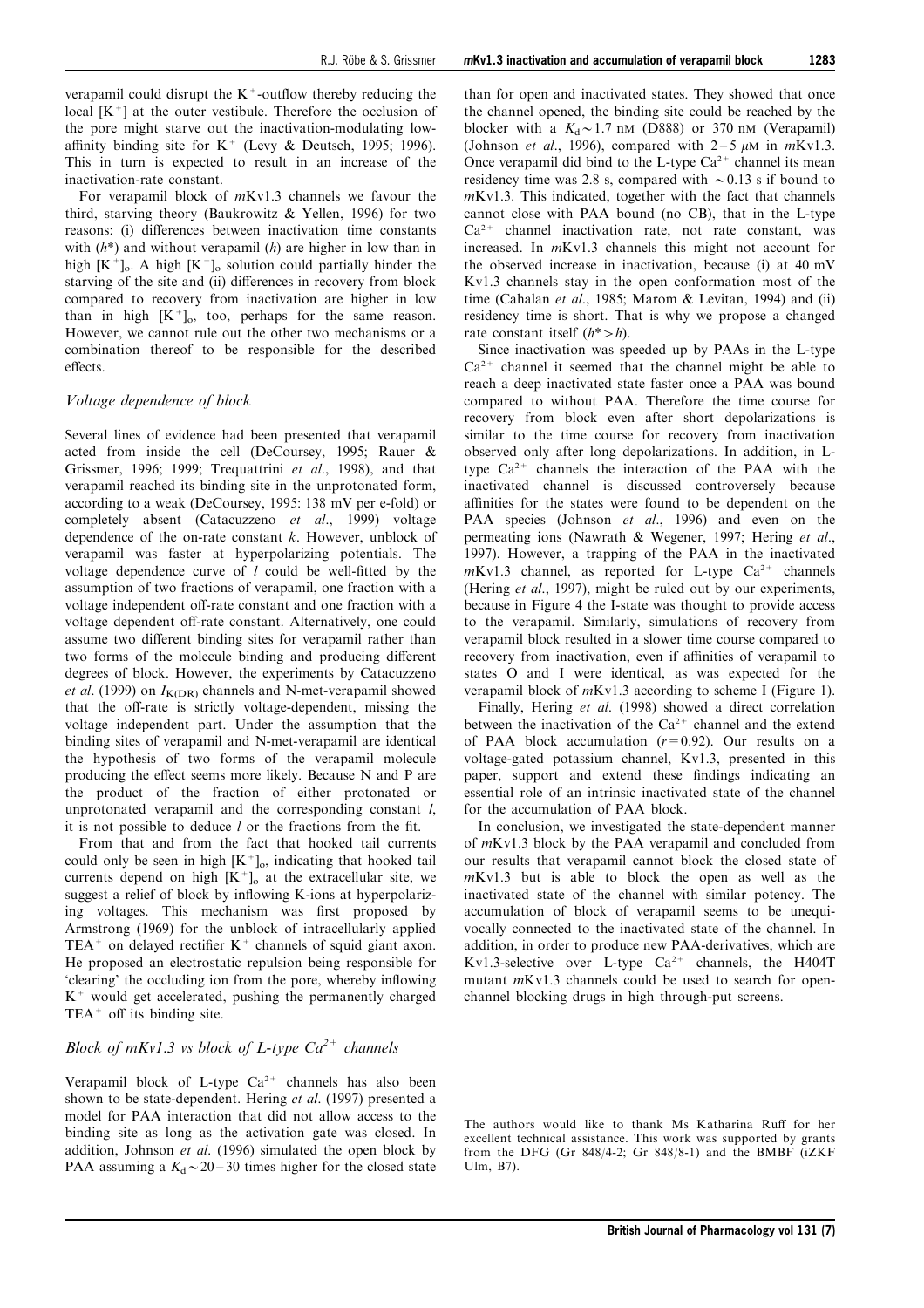<span id="page-8-0"></span>verapamil could disrupt the  $K^+$ -outflow thereby reducing the local  $[K^+]$  at the outer vestibule. Therefore the occlusion of the pore might starve out the inactivation-modulating lowaffinity binding site for  $K^+$  (Levy & Deutsch, 1995; 1996). This in turn is expected to result in an increase of the inactivation-rate constant.

For verapamil block of mKv1.3 channels we favour the third, starving theory (Baukrowitz & Yellen, 1996) for two reasons: (i) differences between inactivation time constants with  $(h^*)$  and without verapamil  $(h)$  are higher in low than in high  $[K^+]_0$ . A high  $[K^+]_0$  solution could partially hinder the starving of the site and (ii) differences in recovery from block compared to recovery from inactivation are higher in low than in high  $[K^+]_0$ , too, perhaps for the same reason. However, we cannot rule out the other two mechanisms or a combination thereof to be responsible for the described effects

#### Voltage dependence of block

Several lines of evidence had been presented that verapamil acted from inside the cell (DeCoursey, 1995; Rauer & Grissmer, 1996; 1999; Trequattrini et al., 1998), and that verapamil reached its binding site in the unprotonated form, according to a weak (DeCoursey, 1995: 138 mV per e-fold) or completely absent (Catacuzzeno et al., 1999) voltage dependence of the on-rate constant  $k$ . However, unblock of verapamil was faster at hyperpolarizing potentials. The voltage dependence curve of  $l$  could be well-fitted by the assumption of two fractions of verapamil, one fraction with a voltage independent off-rate constant and one fraction with a voltage dependent off-rate constant. Alternatively, one could assume two different binding sites for verapamil rather than two forms of the molecule binding and producing different degrees of block. However, the experiments by Catacuzzeno et al. (1999) on  $I_{K(DR)}$  channels and N-met-verapamil showed that the off-rate is strictly voltage-dependent, missing the voltage independent part. Under the assumption that the binding sites of verapamil and N-met-verapamil are identical the hypothesis of two forms of the verapamil molecule producing the effect seems more likely. Because N and P are the product of the fraction of either protonated or unprotonated verapamil and the corresponding constant l, it is not possible to deduce  $l$  or the fractions from the fit.

From that and from the fact that hooked tail currents could only be seen in high  $[K^+]_0$ , indicating that hooked tail currents depend on high  $[K^+]_0$  at the extracellular site, we suggest a relief of block by inflowing K-ions at hyperpolarizing voltages. This mechanism was first proposed by Armstrong (1969) for the unblock of intracellularly applied TEA<sup>+</sup> on delayed rectifier  $K^+$  channels of squid giant axon. He proposed an electrostatic repulsion being responsible for 'clearing' the occluding ion from the pore, whereby inflowing  $K^+$  would get accelerated, pushing the permanently charged  $TEA<sup>+</sup>$  off its binding site.

## Block of  $mKv1.3$  vs block of L-type  $Ca^{2+}$  channels

Verapamil block of L-type  $Ca^{2+}$  channels has also been shown to be state-dependent. Hering et al. (1997) presented a model for PAA interaction that did not allow access to the binding site as long as the activation gate was closed. In addition, Johnson et al. (1996) simulated the open block by PAA assuming a  $K_d \sim 20 - 30$  times higher for the closed state

than for open and inactivated states. They showed that once the channel opened, the binding site could be reached by the blocker with a  $K_d \sim 1.7$  nM (D888) or 370 nM (Verapamil) (Johnson et al., 1996), compared with  $2-5 \mu M$  in  $mKv1.3$ . Once verapamil did bind to the L-type  $Ca^{2+}$  channel its mean residency time was 2.8 s, compared with  $\sim 0.13$  s if bound to mKv1.3. This indicated, together with the fact that channels cannot close with PAA bound (no CB), that in the L-type  $Ca<sup>2+</sup>$  channel inactivation rate, not rate constant, was increased. In mKv1.3 channels this might not account for the observed increase in inactivation, because (i) at 40 mV Kv1.3 channels stay in the open conformation most of the time (Cahalan et al., 1985; Marom & Levitan, 1994) and (ii) residency time is short. That is why we propose a changed rate constant itself  $(h^* > h)$ .

Since inactivation was speeded up by PAAs in the L-type  $Ca^{2+}$  channel it seemed that the channel might be able to reach a deep inactivated state faster once a PAA was bound compared to without PAA. Therefore the time course for recovery from block even after short depolarizations is similar to the time course for recovery from inactivation observed only after long depolarizations. In addition, in Ltype  $Ca^{2+}$  channels the interaction of the PAA with the inactivated channel is discussed controversely because affinities for the states were found to be dependent on the PAA species (Johnson et al., 1996) and even on the permeating ions (Nawrath & Wegener, 1997; Hering et al., 1997). However, a trapping of the PAA in the inactivated  $mKv1.3$  channel, as reported for L-type  $Ca^{2+}$  channels (Hering *et al.*, 1997), might be ruled out by our experiments, because in Figure 4 the I-state was thought to provide access to the verapamil. Similarly, simulations of recovery from verapamil block resulted in a slower time course compared to recovery from inactivation, even if affinities of verapamil to states O and I were identical, as was expected for the verapamil block of mKv1.3 according to scheme I (Figure 1).

Finally, Hering et al. (1998) showed a direct correlation between the inactivation of the  $Ca^{2+}$  channel and the extend of PAA block accumulation  $(r=0.92)$ . Our results on a voltage-gated potassium channel, Kv1.3, presented in this paper, support and extend these findings indicating an essential role of an intrinsic inactivated state of the channel for the accumulation of PAA block.

In conclusion, we investigated the state-dependent manner of mKv1.3 block by the PAA verapamil and concluded from our results that verapamil cannot block the closed state of mKv1.3 but is able to block the open as well as the inactivated state of the channel with similar potency. The accumulation of block of verapamil seems to be unequivocally connected to the inactivated state of the channel. In addition, in order to produce new PAA-derivatives, which are Kv1.3-selective over L-type  $Ca^{2+}$  channels, the H404T mutant *m*Kv1.3 channels could be used to search for openchannel blocking drugs in high through-put screens.

The authors would like to thank Ms Katharina Ruff for her excellent technical assistance. This work was supported by grants from the DFG (Gr  $848/4-2$ ; Gr  $848/8-1$ ) and the BMBF ( $iZKF$ Ulm, B7).